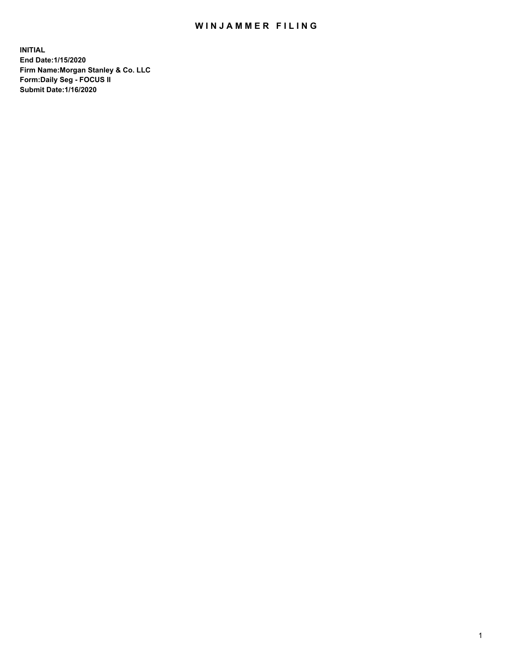## WIN JAMMER FILING

**INITIAL End Date:1/15/2020 Firm Name:Morgan Stanley & Co. LLC Form:Daily Seg - FOCUS II Submit Date:1/16/2020**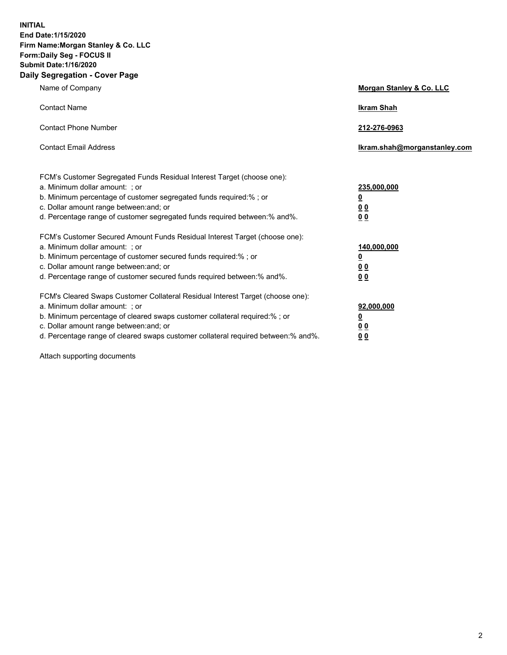**INITIAL End Date:1/15/2020 Firm Name:Morgan Stanley & Co. LLC Form:Daily Seg - FOCUS II Submit Date:1/16/2020 Daily Segregation - Cover Page**

| Name of Company                                                                                                                                                                              | Morgan Stanley & Co. LLC         |
|----------------------------------------------------------------------------------------------------------------------------------------------------------------------------------------------|----------------------------------|
| <b>Contact Name</b>                                                                                                                                                                          | <b>Ikram Shah</b>                |
| <b>Contact Phone Number</b>                                                                                                                                                                  | 212-276-0963                     |
| <b>Contact Email Address</b>                                                                                                                                                                 | Ikram.shah@morganstanley.com     |
| FCM's Customer Segregated Funds Residual Interest Target (choose one):<br>a. Minimum dollar amount: ; or                                                                                     | 235,000,000                      |
| b. Minimum percentage of customer segregated funds required:% ; or<br>c. Dollar amount range between: and; or<br>d. Percentage range of customer segregated funds required between: % and %. | <u>0</u><br><u>0 0</u><br>00     |
| FCM's Customer Secured Amount Funds Residual Interest Target (choose one):                                                                                                                   |                                  |
| a. Minimum dollar amount: ; or<br>b. Minimum percentage of customer secured funds required:%; or                                                                                             | 140,000,000<br><u>0</u>          |
| c. Dollar amount range between: and; or<br>d. Percentage range of customer secured funds required between:% and%.                                                                            | 0 <sub>0</sub><br>0 <sub>0</sub> |
| FCM's Cleared Swaps Customer Collateral Residual Interest Target (choose one):<br>a. Minimum dollar amount: ; or                                                                             | 92,000,000                       |
| b. Minimum percentage of cleared swaps customer collateral required:% ; or<br>c. Dollar amount range between: and; or                                                                        | <u>0</u><br>0 Q                  |
| d. Percentage range of cleared swaps customer collateral required between:% and%.                                                                                                            | 00                               |

Attach supporting documents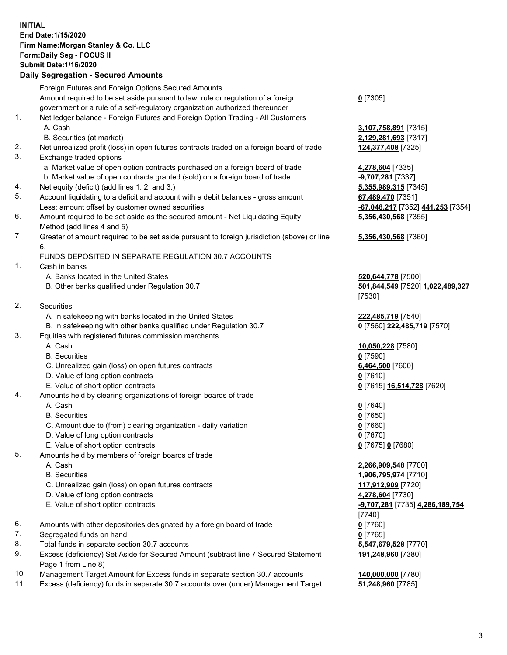## **INITIAL End Date:1/15/2020 Firm Name:Morgan Stanley & Co. LLC Form:Daily Seg - FOCUS II Submit Date:1/16/2020 Daily Segregation - Secured Amounts**

Foreign Futures and Foreign Options Secured Amounts Amount required to be set aside pursuant to law, rule or regulation of a foreign government or a rule of a self-regulatory organization authorized thereunder 1. Net ledger balance - Foreign Futures and Foreign Option Trading - All Customers A. Cash **3,107,758,891** [7315] B. Securities (at market) **2,129,281,693** [7317] 2. Net unrealized profit (loss) in open futures contracts traded on a foreign board of trade **124,377,408** [7325] 3. Exchange traded options a. Market value of open option contracts purchased on a foreign board of trade **4,278,604** [7335] b. Market value of open contracts granted (sold) on a foreign board of trade **-9,707,281** [7337] 4. Net equity (deficit) (add lines 1. 2. and 3.) **5,355,989,315** [7345] 5. Account liquidating to a deficit and account with a debit balances - gross amount **67,489,470** [7351] Less: amount offset by customer owned securities **-67,048,217** [7352] **441,253** [7354] 6. Amount required to be set aside as the secured amount - Net Liquidating Equity Method (add lines 4 and 5) **5,356,430,568** [7355] 7. Greater of amount required to be set aside pursuant to foreign jurisdiction (above) or line 6. FUNDS DEPOSITED IN SEPARATE REGULATION 30.7 ACCOUNTS 1. Cash in banks A. Banks located in the United States **520,644,778** [7500] B. Other banks qualified under Regulation 30.7 **501,844,549** [7520] **1,022,489,327** [7530] 2. Securities A. In safekeeping with banks located in the United States **222,485,719** [7540] B. In safekeeping with other banks qualified under Regulation 30.7 **0** [7560] **222,485,719** [7570] 3. Equities with registered futures commission merchants A. Cash **10,050,228** [7580] B. Securities **0** [7590] C. Unrealized gain (loss) on open futures contracts **6,464,500** [7600] D. Value of long option contracts **0** [7610] E. Value of short option contracts **0** [7615] **16,514,728** [7620] 4. Amounts held by clearing organizations of foreign boards of trade A. Cash **0** [7640] B. Securities **0** [7650] C. Amount due to (from) clearing organization - daily variation **0** [7660] D. Value of long option contracts **0** [7670] E. Value of short option contracts **0** [7675] **0** [7680] 5. Amounts held by members of foreign boards of trade A. Cash **2,266,909,548** [7700] B. Securities **1,906,795,974** [7710] C. Unrealized gain (loss) on open futures contracts **117,912,909** [7720] D. Value of long option contracts **4,278,604** [7730] E. Value of short option contracts **-9,707,281** [7735] **4,286,189,754** [7740] 6. Amounts with other depositories designated by a foreign board of trade **0** [7760] 7. Segregated funds on hand **0** [7765] 8. Total funds in separate section 30.7 accounts **5,547,679,528** [7770] 9. Excess (deficiency) Set Aside for Secured Amount (subtract line 7 Secured Statement Page 1 from Line 8) 10. Management Target Amount for Excess funds in separate section 30.7 accounts **140,000,000** [7780]

11. Excess (deficiency) funds in separate 30.7 accounts over (under) Management Target **51,248,960** [7785]

**0** [7305]

**5,356,430,568** [7360]

**191,248,960** [7380]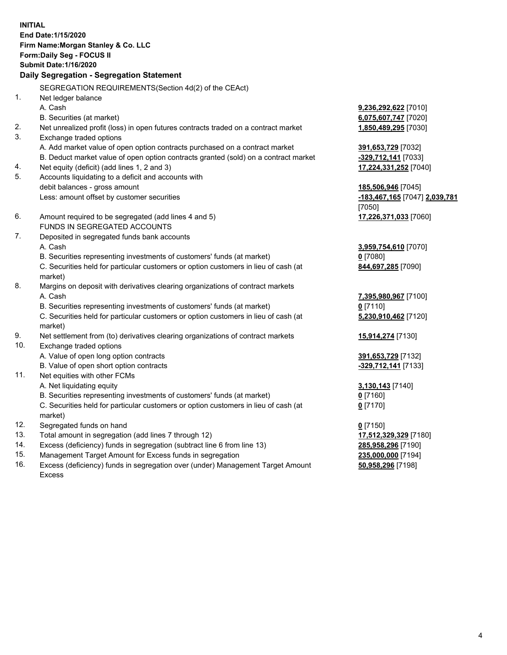**INITIAL End Date:1/15/2020 Firm Name:Morgan Stanley & Co. LLC Form:Daily Seg - FOCUS II Submit Date:1/16/2020 Daily Segregation - Segregation Statement** SEGREGATION REQUIREMENTS(Section 4d(2) of the CEAct) 1. Net ledger balance A. Cash **9,236,292,622** [7010] B. Securities (at market) **6,075,607,747** [7020] 2. Net unrealized profit (loss) in open futures contracts traded on a contract market **1,850,489,295** [7030] 3. Exchange traded options A. Add market value of open option contracts purchased on a contract market **391,653,729** [7032] B. Deduct market value of open option contracts granted (sold) on a contract market **-329,712,141** [7033] 4. Net equity (deficit) (add lines 1, 2 and 3) **17,224,331,252** [7040] 5. Accounts liquidating to a deficit and accounts with debit balances - gross amount **185,506,946** [7045] Less: amount offset by customer securities **-183,467,165** [7047] **2,039,781** [7050] 6. Amount required to be segregated (add lines 4 and 5) **17,226,371,033** [7060] FUNDS IN SEGREGATED ACCOUNTS 7. Deposited in segregated funds bank accounts A. Cash **3,959,754,610** [7070] B. Securities representing investments of customers' funds (at market) **0** [7080] C. Securities held for particular customers or option customers in lieu of cash (at market) **844,697,285** [7090] 8. Margins on deposit with derivatives clearing organizations of contract markets A. Cash **7,395,980,967** [7100] B. Securities representing investments of customers' funds (at market) **0** [7110] C. Securities held for particular customers or option customers in lieu of cash (at market) **5,230,910,462** [7120] 9. Net settlement from (to) derivatives clearing organizations of contract markets **15,914,274** [7130] 10. Exchange traded options A. Value of open long option contracts **391,653,729** [7132] B. Value of open short option contracts **and the set of our of the set of our of the set of our of the set of the set of the set of the set of the set of the set of the set of the set of the set of the set of the set of th** 11. Net equities with other FCMs A. Net liquidating equity **3,130,143** [7140] B. Securities representing investments of customers' funds (at market) **0** [7160] C. Securities held for particular customers or option customers in lieu of cash (at market) **0** [7170] 12. Segregated funds on hand **0** [7150] 13. Total amount in segregation (add lines 7 through 12) **17,512,329,329** [7180] 14. Excess (deficiency) funds in segregation (subtract line 6 from line 13) **285,958,296** [7190]

- 15. Management Target Amount for Excess funds in segregation **235,000,000** [7194]
- 16. Excess (deficiency) funds in segregation over (under) Management Target Amount Excess

**50,958,296** [7198]